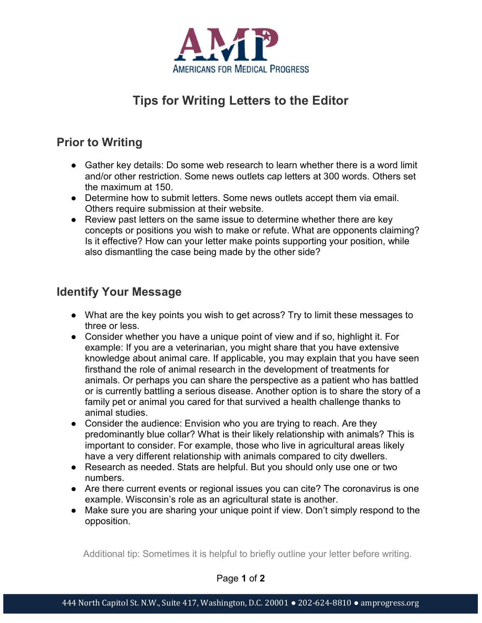

# Tips for Writing Letters to the Editor

### Prior to Writing

- Gather key details: Do some web research to learn whether there is a word limit and/or other restriction. Some news outlets cap letters at 300 words. Others set the maximum at 150.
- Determine how to submit letters. Some news outlets accept them via email. Others require submission at their website.
- Review past letters on the same issue to determine whether there are key concepts or positions you wish to make or refute. What are opponents claiming? Is it effective? How can your letter make points supporting your position, while also dismantling the case being made by the other side?

#### Identify Your Message

- What are the key points you wish to get across? Try to limit these messages to three or less.
- Consider whether you have a unique point of view and if so, highlight it. For example: If you are a veterinarian, you might share that you have extensive knowledge about animal care. If applicable, you may explain that you have seen firsthand the role of animal research in the development of treatments for animals. Or perhaps you can share the perspective as a patient who has battled or is currently battling a serious disease. Another option is to share the story of a family pet or animal you cared for that survived a health challenge thanks to animal studies.
- Consider the audience: Envision who you are trying to reach. Are they predominantly blue collar? What is their likely relationship with animals? This is important to consider. For example, those who live in agricultural areas likely have a very different relationship with animals compared to city dwellers.
- Research as needed. Stats are helpful. But you should only use one or two numbers.
- Are there current events or regional issues you can cite? The coronavirus is one example. Wisconsin's role as an agricultural state is another.
- Make sure you are sharing your unique point if view. Don't simply respond to the opposition.

Additional tip: Sometimes it is helpful to briefly outline your letter before writing.

Page 1 of 2